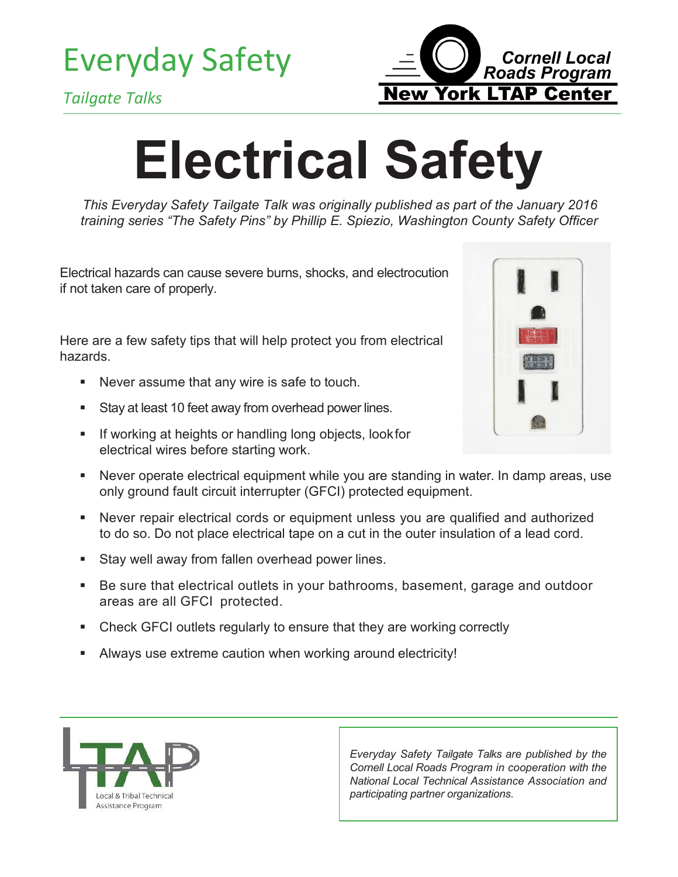Everyday Safety





## **Electrical Safety**

*This Everyday Safety Tailgate Talk was originally published as part of the January 2016 training series "The Safety Pins" by Phillip E. Spiezio, Washington County Safety Officer*

Electrical hazards can cause severe burns, shocks, and electrocution if not taken care of properly.

Here are a few safety tips that will help protect you from electrical hazards.

- Never assume that any wire is safe to touch.
- Stay at least 10 feet away from overhead power lines.
- **If working at heights or handling long objects, look for** electrical wires before starting work.



- Never operate electrical equipment while you are standing in water. In damp areas, use only ground fault circuit interrupter (GFCI) protected equipment.
- Never repair electrical cords or equipment unless you are qualified and authorized to do so. Do not place electrical tape on a cut in the outer insulation of a lead cord.
- **Stay well away from fallen overhead power lines.**
- Be sure that electrical outlets in your bathrooms, basement, garage and outdoor areas are all GFCI protected.
- Check GFCI outlets regularly to ensure that they are working correctly
- Always use extreme caution when working around electricity!



*Everyday Safety Tailgate Talks are published by the Cornell Local Roads Program in cooperation with the National Local Technical Assistance Association and participating partner organizations.*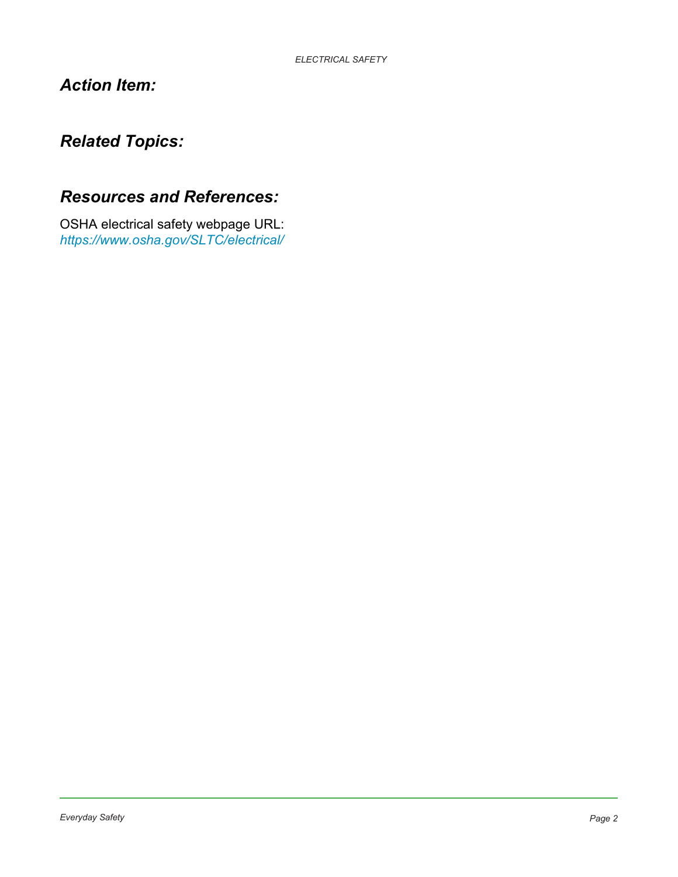## *Action Item:*

## *Related Topics:*

## *Resources and References:*

OSHA electrical safety webpage URL: *<https://www.osha.gov/SLTC/electrical/>*